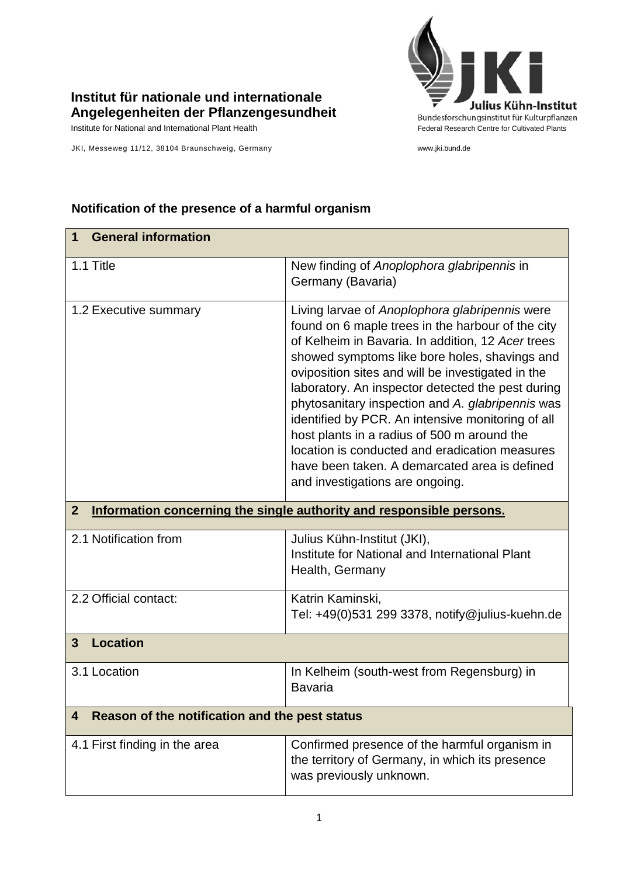

## **Institut für nationale und internationale Angelegenheiten der Pflanzengesundheit**

JKI, Messeweg 11/12, 38104 Braunschweig, Germany www.jki.bund.de

## **Notification of the presence of a harmful organism**

| <b>General information</b><br>1                                                        |                                                                                                                                                                                                                                                                                                                                                                                                                                                                                                                                                                                                                   |  |
|----------------------------------------------------------------------------------------|-------------------------------------------------------------------------------------------------------------------------------------------------------------------------------------------------------------------------------------------------------------------------------------------------------------------------------------------------------------------------------------------------------------------------------------------------------------------------------------------------------------------------------------------------------------------------------------------------------------------|--|
| 1.1 Title                                                                              | New finding of Anoplophora glabripennis in<br>Germany (Bavaria)                                                                                                                                                                                                                                                                                                                                                                                                                                                                                                                                                   |  |
| 1.2 Executive summary                                                                  | Living larvae of Anoplophora glabripennis were<br>found on 6 maple trees in the harbour of the city<br>of Kelheim in Bavaria. In addition, 12 Acer trees<br>showed symptoms like bore holes, shavings and<br>oviposition sites and will be investigated in the<br>laboratory. An inspector detected the pest during<br>phytosanitary inspection and A. glabripennis was<br>identified by PCR. An intensive monitoring of all<br>host plants in a radius of 500 m around the<br>location is conducted and eradication measures<br>have been taken. A demarcated area is defined<br>and investigations are ongoing. |  |
| $\overline{2}$<br>Information concerning the single authority and responsible persons. |                                                                                                                                                                                                                                                                                                                                                                                                                                                                                                                                                                                                                   |  |
| 2.1 Notification from                                                                  | Julius Kühn-Institut (JKI),<br>Institute for National and International Plant<br>Health, Germany                                                                                                                                                                                                                                                                                                                                                                                                                                                                                                                  |  |
| 2.2 Official contact:                                                                  | Katrin Kaminski,<br>Tel: +49(0)531 299 3378, notify@julius-kuehn.de                                                                                                                                                                                                                                                                                                                                                                                                                                                                                                                                               |  |
| $\mathbf{3}$<br><b>Location</b>                                                        |                                                                                                                                                                                                                                                                                                                                                                                                                                                                                                                                                                                                                   |  |
| 3.1 Location                                                                           | In Kelheim (south-west from Regensburg) in<br><b>Bavaria</b>                                                                                                                                                                                                                                                                                                                                                                                                                                                                                                                                                      |  |
| Reason of the notification and the pest status<br>4                                    |                                                                                                                                                                                                                                                                                                                                                                                                                                                                                                                                                                                                                   |  |
| 4.1 First finding in the area                                                          | Confirmed presence of the harmful organism in<br>the territory of Germany, in which its presence<br>was previously unknown.                                                                                                                                                                                                                                                                                                                                                                                                                                                                                       |  |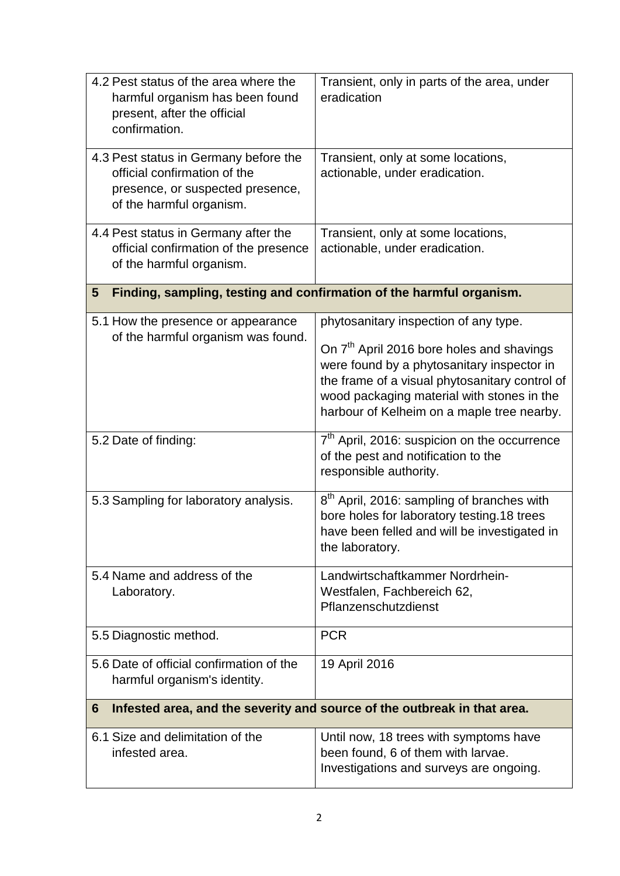| 4.2 Pest status of the area where the<br>harmful organism has been found<br>present, after the official<br>confirmation.              | Transient, only in parts of the area, under<br>eradication                                                                                                                                                                                                                                 |  |
|---------------------------------------------------------------------------------------------------------------------------------------|--------------------------------------------------------------------------------------------------------------------------------------------------------------------------------------------------------------------------------------------------------------------------------------------|--|
| 4.3 Pest status in Germany before the<br>official confirmation of the<br>presence, or suspected presence,<br>of the harmful organism. | Transient, only at some locations,<br>actionable, under eradication.                                                                                                                                                                                                                       |  |
| 4.4 Pest status in Germany after the<br>official confirmation of the presence<br>of the harmful organism.                             | Transient, only at some locations,<br>actionable, under eradication.                                                                                                                                                                                                                       |  |
| Finding, sampling, testing and confirmation of the harmful organism.<br>5                                                             |                                                                                                                                                                                                                                                                                            |  |
| 5.1 How the presence or appearance<br>of the harmful organism was found.                                                              | phytosanitary inspection of any type.<br>On 7 <sup>th</sup> April 2016 bore holes and shavings<br>were found by a phytosanitary inspector in<br>the frame of a visual phytosanitary control of<br>wood packaging material with stones in the<br>harbour of Kelheim on a maple tree nearby. |  |
| 5.2 Date of finding:                                                                                                                  | 7 <sup>th</sup> April, 2016: suspicion on the occurrence<br>of the pest and notification to the<br>responsible authority.                                                                                                                                                                  |  |
| 5.3 Sampling for laboratory analysis.                                                                                                 | 8 <sup>th</sup> April, 2016: sampling of branches with<br>bore holes for laboratory testing.18 trees<br>have been felled and will be investigated in<br>the laboratory.                                                                                                                    |  |
| 5.4 Name and address of the<br>Laboratory.                                                                                            | Landwirtschaftkammer Nordrhein-<br>Westfalen, Fachbereich 62,<br>Pflanzenschutzdienst                                                                                                                                                                                                      |  |
| 5.5 Diagnostic method.                                                                                                                | <b>PCR</b>                                                                                                                                                                                                                                                                                 |  |
| 5.6 Date of official confirmation of the<br>harmful organism's identity.                                                              | 19 April 2016                                                                                                                                                                                                                                                                              |  |
| Infested area, and the severity and source of the outbreak in that area.<br>6                                                         |                                                                                                                                                                                                                                                                                            |  |
| 6.1 Size and delimitation of the<br>infested area.                                                                                    | Until now, 18 trees with symptoms have<br>been found, 6 of them with larvae.<br>Investigations and surveys are ongoing.                                                                                                                                                                    |  |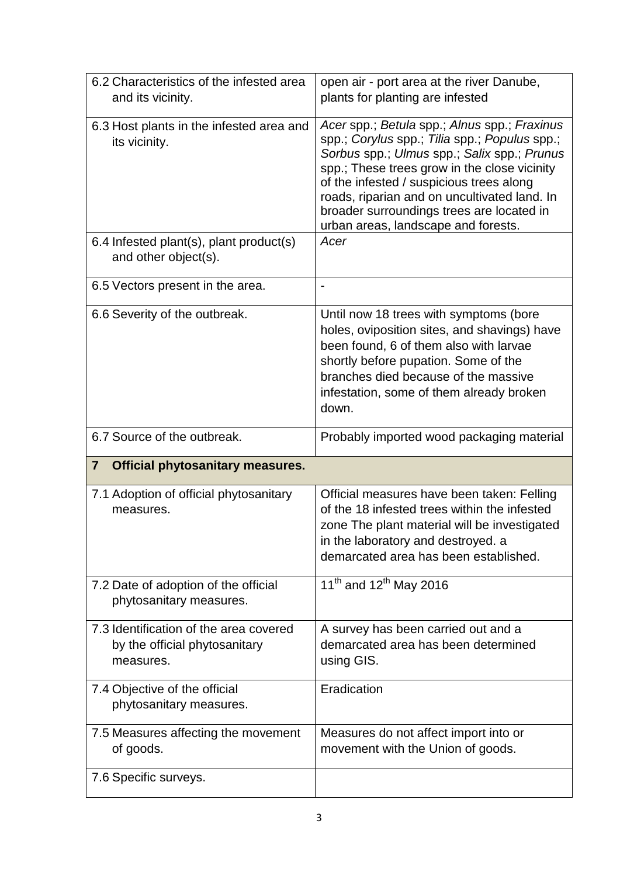| 6.2 Characteristics of the infested area<br>and its vicinity.                        | open air - port area at the river Danube,<br>plants for planting are infested                                                                                                                                                                                                                                                                                                |
|--------------------------------------------------------------------------------------|------------------------------------------------------------------------------------------------------------------------------------------------------------------------------------------------------------------------------------------------------------------------------------------------------------------------------------------------------------------------------|
| 6.3 Host plants in the infested area and<br>its vicinity.                            | Acer spp.; Betula spp.; Alnus spp.; Fraxinus<br>spp.; Corylus spp.; Tilia spp.; Populus spp.;<br>Sorbus spp.; Ulmus spp.; Salix spp.; Prunus<br>spp.; These trees grow in the close vicinity<br>of the infested / suspicious trees along<br>roads, riparian and on uncultivated land. In<br>broader surroundings trees are located in<br>urban areas, landscape and forests. |
| 6.4 Infested plant(s), plant product(s)<br>and other object(s).                      | Acer                                                                                                                                                                                                                                                                                                                                                                         |
| 6.5 Vectors present in the area.                                                     | $\overline{\phantom{0}}$                                                                                                                                                                                                                                                                                                                                                     |
| 6.6 Severity of the outbreak.                                                        | Until now 18 trees with symptoms (bore<br>holes, oviposition sites, and shavings) have<br>been found, 6 of them also with larvae<br>shortly before pupation. Some of the<br>branches died because of the massive<br>infestation, some of them already broken<br>down.                                                                                                        |
| 6.7 Source of the outbreak.                                                          | Probably imported wood packaging material                                                                                                                                                                                                                                                                                                                                    |
|                                                                                      |                                                                                                                                                                                                                                                                                                                                                                              |
| <b>Official phytosanitary measures.</b><br>$\overline{7}$                            |                                                                                                                                                                                                                                                                                                                                                                              |
| 7.1 Adoption of official phytosanitary<br>measures.                                  | Official measures have been taken: Felling<br>of the 18 infested trees within the infested<br>zone The plant material will be investigated<br>in the laboratory and destroyed. a<br>demarcated area has been established.                                                                                                                                                    |
| 7.2 Date of adoption of the official<br>phytosanitary measures.                      | 11 <sup>th</sup> and 12 <sup>th</sup> May 2016                                                                                                                                                                                                                                                                                                                               |
| 7.3 Identification of the area covered<br>by the official phytosanitary<br>measures. | A survey has been carried out and a<br>demarcated area has been determined<br>using GIS.                                                                                                                                                                                                                                                                                     |
| 7.4 Objective of the official<br>phytosanitary measures.                             | Eradication                                                                                                                                                                                                                                                                                                                                                                  |
| 7.5 Measures affecting the movement<br>of goods.                                     | Measures do not affect import into or<br>movement with the Union of goods.                                                                                                                                                                                                                                                                                                   |